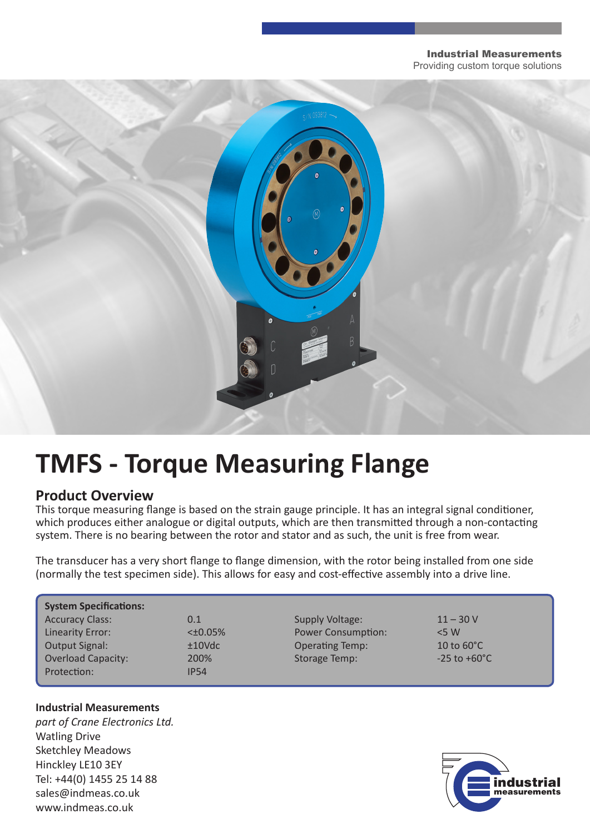#### Industrial Measurements Providing custom torque solutions

# **TMFS - Torque Measuring Flange**

### **Product Overview**

This torque measuring flange is based on the strain gauge principle. It has an integral signal conditioner, which produces either analogue or digital outputs, which are then transmitted through a non-contacting system. There is no bearing between the rotor and stator and as such, the unit is free from wear.

The transducer has a very short flange to flange dimension, with the rotor being installed from one side (normally the test specimen side). This allows for easy and cost-effective assembly into a drive line.

| <b>System Specifications:</b> |               |                           |                          |
|-------------------------------|---------------|---------------------------|--------------------------|
| <b>Accuracy Class:</b>        | 0.1           | Supply Voltage:           | $11 - 30V$               |
| Linearity Error:              | $<\pm 0.05\%$ | <b>Power Consumption:</b> | $<$ 5 W                  |
| Output Signal:                | $±10$ Vdc     | <b>Operating Temp:</b>    | 10 to $60^{\circ}$ C     |
| <b>Overload Capacity:</b>     | 200%          | <b>Storage Temp:</b>      | $-25$ to $+60^{\circ}$ C |
| Protection:                   | <b>IP54</b>   |                           |                          |

#### **Industrial Measurements**

*part of Crane Electronics Ltd.* Watling Drive Sketchley Meadows Hinckley LE10 3EY Tel: +44(0) 1455 25 14 88 sales@indmeas.co.uk www.indmeas.co.uk

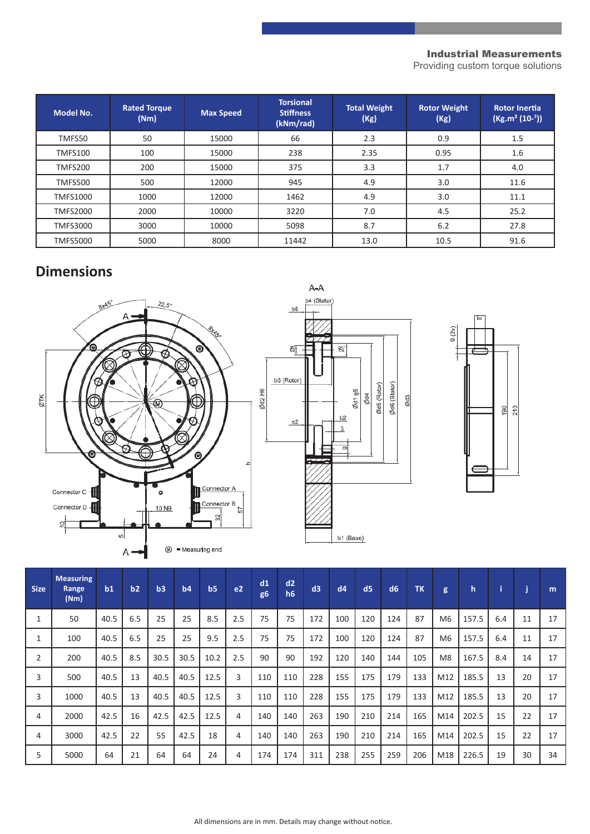#### Industrial Measurements

Providing custom torque solutions

| <b>Model No.</b> | <b>Rated Torque</b><br>(Nm) | <b>Max Speed</b> | <b>Torsional</b><br><b>Stiffness</b><br>(kNm/rad) | <b>Total Weight</b><br>(Kg) | <b>Rotor Weight</b><br>(Kg) | <b>Rotor Inertia</b><br>$(Kg.m2 (10-3))$ |
|------------------|-----------------------------|------------------|---------------------------------------------------|-----------------------------|-----------------------------|------------------------------------------|
| TMFS50           | 50                          | 15000            | 66                                                | 2.3                         | 0.9                         | 1.5                                      |
| <b>TMFS100</b>   | 100                         | 15000            | 238                                               | 2.35                        | 0.95                        | 1.6                                      |
| TMFS200          | 200                         | 15000            | 375                                               | 3.3                         | 1.7                         | 4.0                                      |
| <b>TMFS500</b>   | 500                         | 12000            | 945                                               | 4.9                         | 3.0                         | 11.6                                     |
| <b>TMFS1000</b>  | 1000                        | 12000            | 1462                                              | 4.9                         | 3.0                         | 11.1                                     |
| <b>TMFS2000</b>  | 2000                        | 10000            | 3220                                              | 7.0                         | 4.5                         | 25.2                                     |
| <b>TMFS3000</b>  | 3000                        | 10000            | 5098                                              | 8.7                         | 6.2                         | 27.8                                     |
| <b>TMFS5000</b>  | 5000                        | 8000             | 11442                                             | 13.0                        | 10.5                        | 91.6                                     |

## **Dimensions**







| <b>Size</b> | <b>Measuring</b><br>Range<br>(Nm) | b1   | b2  | b3   | b4   | b <sub>5</sub> | e <sub>2</sub> | d1<br>g <sub>6</sub> | d2<br>h <sub>6</sub> | d3  | dd4 | d <sub>5</sub> | d6  | <b>TK</b> | g              | h     |     | i  | m  |
|-------------|-----------------------------------|------|-----|------|------|----------------|----------------|----------------------|----------------------|-----|-----|----------------|-----|-----------|----------------|-------|-----|----|----|
| 1           | 50                                | 40.5 | 6.5 | 25   | 25   | 8.5            | 2.5            | 75                   | 75                   | 172 | 100 | 120            | 124 | 87        | M <sub>6</sub> | 157.5 | 6.4 | 11 | 17 |
| 1           | 100                               | 40.5 | 6.5 | 25   | 25   | 9.5            | 2.5            | 75                   | 75                   | 172 | 100 | 120            | 124 | 87        | M <sub>6</sub> | 157.5 | 6.4 | 11 | 17 |
| 2           | 200                               | 40.5 | 8.5 | 30.5 | 30.5 | 10.2           | 2.5            | 90                   | 90                   | 192 | 120 | 140            | 144 | 105       | M <sub>8</sub> | 167.5 | 8.4 | 14 | 17 |
| 3           | 500                               | 40.5 | 13  | 40.5 | 40.5 | 12.5           | 3              | 110                  | 110                  | 228 | 155 | 175            | 179 | 133       | M12            | 185.5 | 13  | 20 | 17 |
| 3           | 1000                              | 40.5 | 13  | 40.5 | 40.5 | 12.5           | 3              | 110                  | 110                  | 228 | 155 | 175            | 179 | 133       | M12            | 185.5 | 13  | 20 | 17 |
| 4           | 2000                              | 42.5 | 16  | 42.5 | 42.5 | 12.5           | 4              | 140                  | 140                  | 263 | 190 | 210            | 214 | 165       | M14            | 202.5 | 15  | 22 | 17 |
| 4           | 3000                              | 42.5 | 22  | 55   | 42.5 | 18             | 4              | 140                  | 140                  | 263 | 190 | 210            | 214 | 165       | M14            | 202.5 | 15  | 22 | 17 |
| 5           | 5000                              | 64   | 21  | 64   | 64   | 24             | 4              | 174                  | 174                  | 311 | 238 | 255            | 259 | 206       | M18            | 226.5 | 19  | 30 | 34 |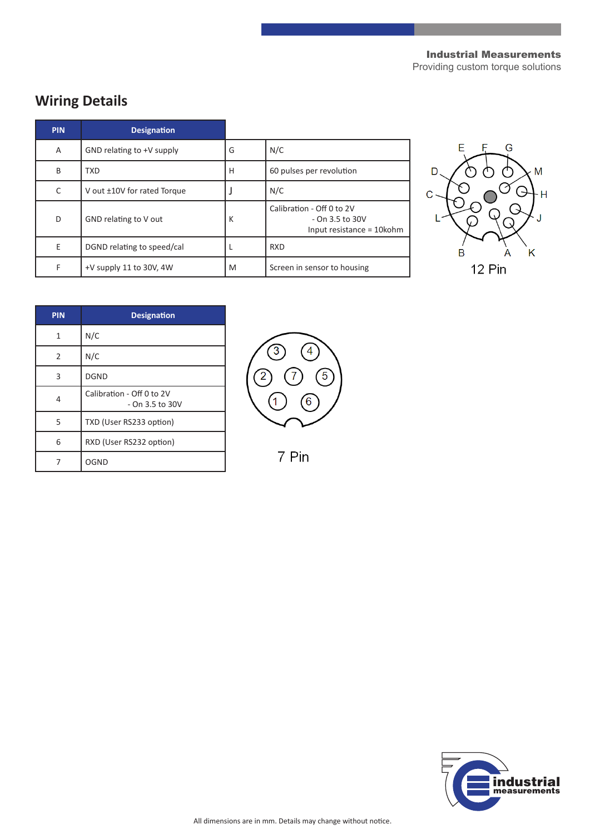#### Industrial Measurements

Providing custom torque solutions

## **Wiring Details**

| <b>PIN</b> | <b>Designation</b>          |   |                                                                           |
|------------|-----------------------------|---|---------------------------------------------------------------------------|
| A          | GND relating to +V supply   | G | N/C                                                                       |
| B          | <b>TXD</b>                  | н | 60 pulses per revolution                                                  |
| C          | V out ±10V for rated Torque |   | N/C                                                                       |
| D          | GND relating to V out       | К | Calibration - Off 0 to 2V<br>- On 3.5 to 30V<br>Input resistance = 10kohm |
| E          | DGND relating to speed/cal  |   | <b>RXD</b>                                                                |
| F          | +V supply 11 to 30V, 4W     | M | Screen in sensor to housing                                               |



| <b>PIN</b> | <b>Designation</b>                             |  |  |  |  |
|------------|------------------------------------------------|--|--|--|--|
| 1          | N/C                                            |  |  |  |  |
| 2          | N/C                                            |  |  |  |  |
| 3          | <b>DGND</b>                                    |  |  |  |  |
| 4          | Calibration - Off 0 to 2V<br>$-$ On 3.5 to 30V |  |  |  |  |
| 5          | TXD (User RS233 option)                        |  |  |  |  |
| 6          | RXD (User RS232 option)                        |  |  |  |  |
|            | OGND                                           |  |  |  |  |



7 Pin